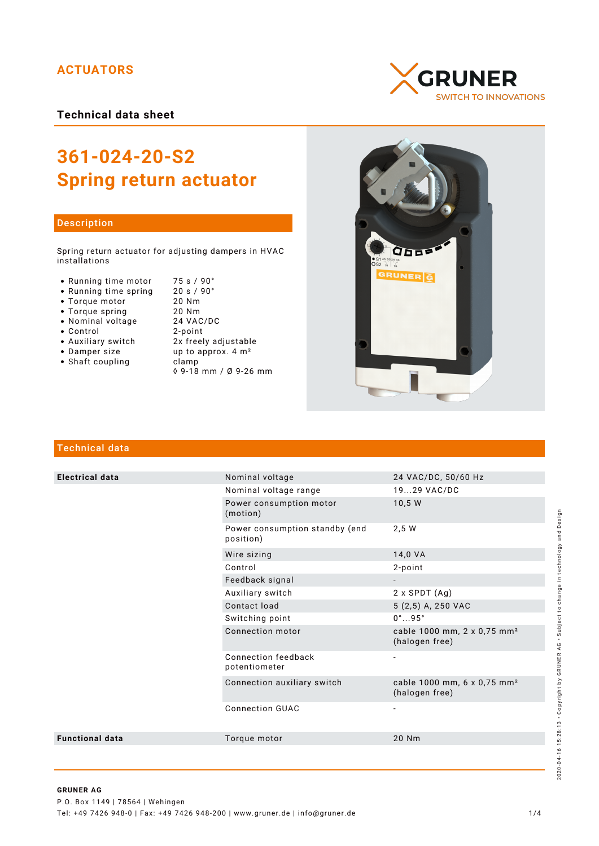# **ACTUATORS**

**Technical data sheet**

# **361-024-20-S2 Spring return actuator**

### Description

Spring return actuator for adjusting dampers in HVAC installations

- Running time motor 75 s / 90°<br>• Running time spring 20 s / 90°
- Running time spring 20 s /<br>• Torque motor 20 Nm
- Torque motor 20 Nm
- 
- Nominal voltage
- 
- Control 2-point
- 
- Shaft coupling becamp
- Torque spring 20 Nm<br>• Nominal voltage 24 VAC/DC • Auxiliary switch 2x freely adjustable<br>• Damper size up to approx. 4 m<sup>2</sup> up to approx.  $4 \text{ m}^2$ 
	- ◊ 9-18 mm / Ø 9-26 mm
	-





# Technical data

| <b>Electrical data</b> | Nominal voltage                             | 24 VAC/DC, 50/60 Hz                                       |
|------------------------|---------------------------------------------|-----------------------------------------------------------|
|                        | Nominal voltage range                       | 1929 VAC/DC                                               |
|                        | Power consumption motor<br>(motion)         | 10,5 W                                                    |
|                        | Power consumption standby (end<br>position) | 2,5 W                                                     |
|                        | Wire sizing                                 | 14,0 VA                                                   |
|                        | Control                                     | 2-point                                                   |
|                        | Feedback signal                             |                                                           |
|                        | Auxiliary switch                            | $2 \times$ SPDT $(Ag)$                                    |
|                        | Contact load                                | 5 (2,5) A, 250 VAC                                        |
|                        | Switching point                             | $0^\circ \dots 95^\circ$                                  |
|                        | Connection motor                            | cable 1000 mm, 2 x 0,75 mm <sup>2</sup><br>(halogen free) |
|                        | Connection feedback<br>potentiometer        |                                                           |
|                        | Connection auxiliary switch                 | cable 1000 mm, 6 x 0,75 mm <sup>2</sup><br>(halogen free) |
|                        | <b>Connection GUAC</b>                      |                                                           |
| <b>Functional data</b> | Torque motor                                | 20 Nm                                                     |
|                        |                                             |                                                           |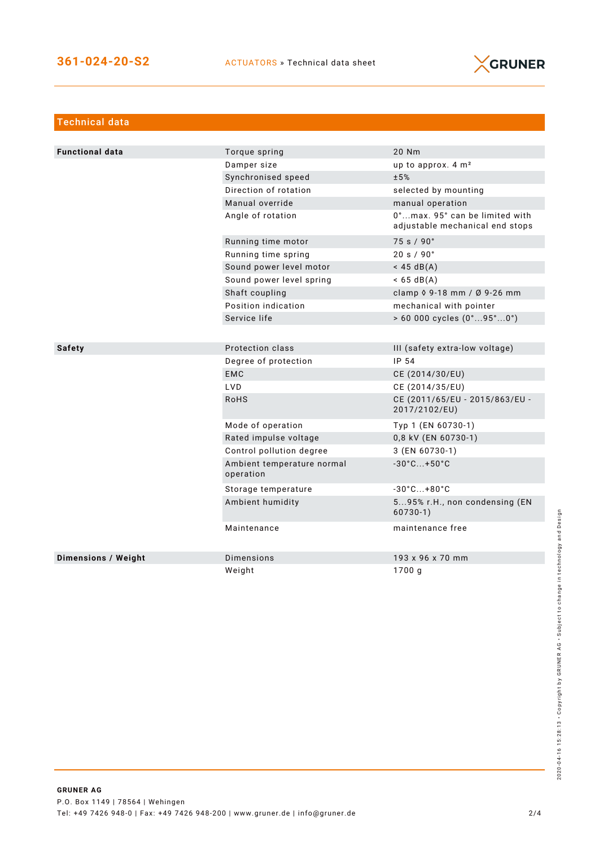

| <b>Technical data</b>  |                                         |                                                                   |
|------------------------|-----------------------------------------|-------------------------------------------------------------------|
|                        |                                         |                                                                   |
| <b>Functional data</b> | Torque spring                           | 20 Nm                                                             |
|                        | Damper size                             | up to approx. 4 m <sup>2</sup>                                    |
|                        | Synchronised speed                      | ±5%                                                               |
|                        | Direction of rotation                   | selected by mounting                                              |
|                        | Manual override                         | manual operation                                                  |
|                        | Angle of rotation                       | 0°max. 95° can be limited with<br>adjustable mechanical end stops |
|                        | Running time motor                      | 75 s / 90°                                                        |
|                        | Running time spring                     | 20 s / 90°                                                        |
|                        | Sound power level motor                 | $<$ 45 dB(A)                                                      |
|                        | Sound power level spring                | $< 65 \text{ dB(A)}$                                              |
|                        | Shaft coupling                          | clamp 0 9-18 mm / Ø 9-26 mm                                       |
|                        | Position indication                     | mechanical with pointer                                           |
|                        | Service life                            | $> 60000$ cycles $(0^{\circ}95^{\circ}0^{\circ})$                 |
|                        |                                         |                                                                   |
| <b>Safety</b>          | Protection class                        | III (safety extra-low voltage)                                    |
|                        | Degree of protection                    | IP 54                                                             |
|                        | <b>EMC</b>                              | CE (2014/30/EU)                                                   |
|                        | <b>LVD</b>                              | CE (2014/35/EU)                                                   |
|                        | <b>RoHS</b>                             | CE (2011/65/EU - 2015/863/EU -<br>2017/2102/EU)                   |
|                        | Mode of operation                       | Typ 1 (EN 60730-1)                                                |
|                        | Rated impulse voltage                   | 0,8 kV (EN 60730-1)                                               |
|                        | Control pollution degree                | 3 (EN 60730-1)                                                    |
|                        | Ambient temperature normal<br>operation | $-30^{\circ}$ C +50 $^{\circ}$ C                                  |
|                        | Storage temperature                     | $-30^{\circ}$ C +80 $^{\circ}$ C                                  |
|                        | Ambient humidity                        | 595% r.H., non condensing (EN<br>$60730-1)$                       |
|                        | Maintenance                             | maintenance free                                                  |
| Dimensions / Weight    | Dimensions                              | 193 x 96 x 70 mm                                                  |
|                        | Weight                                  | 1700q                                                             |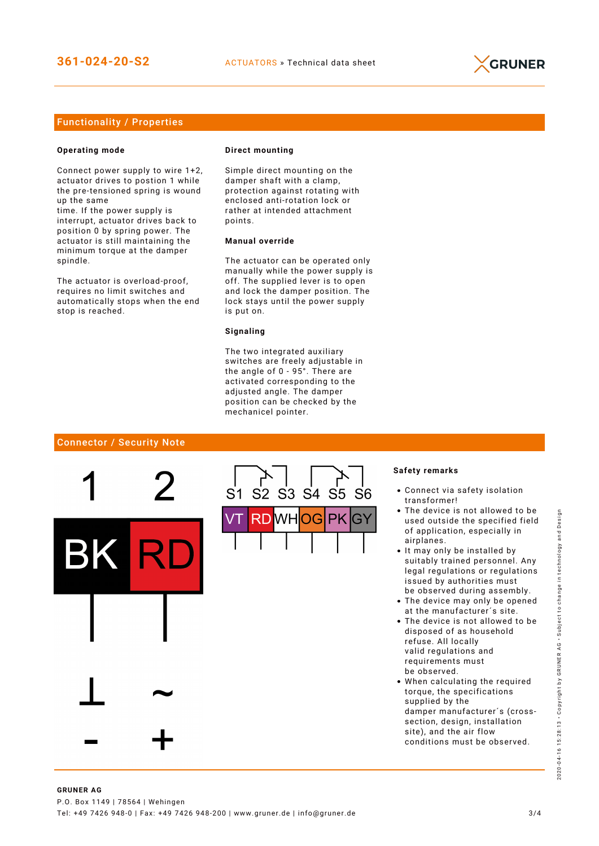

## Functionality / Properties

#### **Operating mode**

Connect power supply to wire 1+2, actuator drives to postion 1 while the pre-tensioned spring is wound up the same

time. If the power supply is interrupt, actuator drives back to position 0 by spring power. The actuator is still maintaining the minimum torque at the damper spindle.

The actuator is overload-proof, requires no limit switches and automatically stops when the end stop is reached.

#### **Direct mounting**

Simple direct mounting on the damper shaft with a clamp, protection against rotating with enclosed anti-rotation lock or rather at intended attachment points.

## **Manual override**

The actuator can be operated only manually while the power supply is off. The supplied lever is to open and lock the damper position. The lock stays until the power supply is put on.

#### **Signaling**

The two integrated auxiliary switches are freely adjustable in the angle of 0 - 95°. There are activated corresponding to the adjusted angle. The damper position can be checked by the mechanicel pointer.

#### Connector / Security Note



#### **Safety remarks**

- Connect via safety isolation transformer!
- The device is not allowed to be used outside the specified field of application, especially in airplanes.
- It may only be installed by suitably trained personnel. Any legal regulations or regulations issued by authorities must be observed during assembly.
- The device may only be opened at the manufacturer´s site.
- The device is not allowed to be disposed of as household refuse. All locally valid regulations and requirements must be observed.
- When calculating the required torque, the specifications supplied by the damper manufacturer´s (crosssection, design, installation site), and the air flow conditions must be observed.